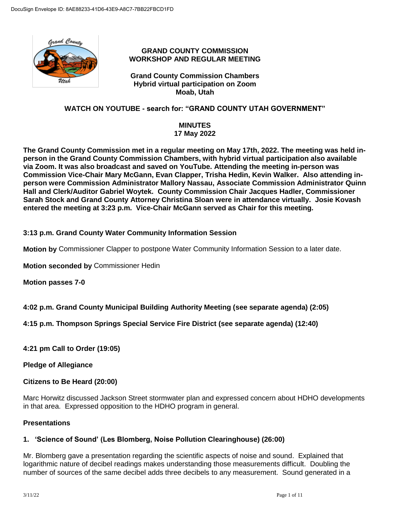

# **GRAND COUNTY COMMISSION WORKSHOP AND REGULAR MEETING**

**Grand County Commission Chambers Hybrid virtual participation on Zoom Moab, Utah**

# **WATCH ON YOUTUBE - search for: "GRAND COUNTY UTAH GOVERNMENT"**

### **MINUTES 17 May 2022**

**The Grand County Commission met in a regular meeting on May 17th, 2022. The meeting was held inperson in the Grand County Commission Chambers, with hybrid virtual participation also available via Zoom. It was also broadcast and saved on YouTube. Attending the meeting in-person was Commission Vice-Chair Mary McGann, Evan Clapper, Trisha Hedin, Kevin Walker. Also attending inperson were Commission Administrator Mallory Nassau, Associate Commission Administrator Quinn Hall and Clerk/Auditor Gabriel Woytek. County Commission Chair Jacques Hadler, Commissioner Sarah Stock and Grand County Attorney Christina Sloan were in attendance virtually. Josie Kovash entered the meeting at 3:23 p.m. Vice-Chair McGann served as Chair for this meeting.**

# **3:13 p.m. Grand County Water Community Information Session**

**Motion by** Commissioner Clapper to postpone Water Community Information Session to a later date.

**Motion seconded by** Commissioner Hedin

**Motion passes 7-0**

# **4:02 p.m. Grand County Municipal Building Authority Meeting (see separate agenda) (2:05)**

**4:15 p.m. Thompson Springs Special Service Fire District (see separate agenda) (12:40)**

**4:21 pm Call to Order (19:05)**

**Pledge of Allegiance**

# **Citizens to Be Heard (20:00)**

Marc Horwitz discussed Jackson Street stormwater plan and expressed concern about HDHO developments in that area. Expressed opposition to the HDHO program in general.

### **Presentations**

# **1. 'Science of Sound' (Les Blomberg, Noise Pollution Clearinghouse) (26:00)**

Mr. Blomberg gave a presentation regarding the scientific aspects of noise and sound. Explained that logarithmic nature of decibel readings makes understanding those measurements difficult. Doubling the number of sources of the same decibel adds three decibels to any measurement. Sound generated in a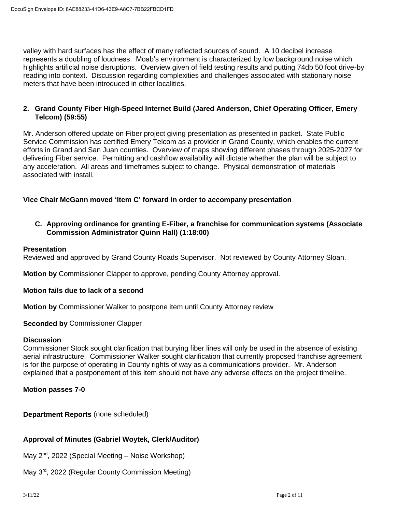valley with hard surfaces has the effect of many reflected sources of sound. A 10 decibel increase represents a doubling of loudness. Moab's environment is characterized by low background noise which highlights artificial noise disruptions. Overview given of field testing results and putting 74db 50 foot drive-by reading into context. Discussion regarding complexities and challenges associated with stationary noise meters that have been introduced in other localities.

# **2. Grand County Fiber High-Speed Internet Build (Jared Anderson, Chief Operating Officer, Emery Telcom) (59:55)**

Mr. Anderson offered update on Fiber project giving presentation as presented in packet. State Public Service Commission has certified Emery Telcom as a provider in Grand County, which enables the current efforts in Grand and San Juan counties. Overview of maps showing different phases through 2025-2027 for delivering Fiber service. Permitting and cashflow availability will dictate whether the plan will be subject to any acceleration. All areas and timeframes subject to change. Physical demonstration of materials associated with install.

# **Vice Chair McGann moved 'Item C' forward in order to accompany presentation**

**C. Approving ordinance for granting E-Fiber, a franchise for communication systems (Associate Commission Administrator Quinn Hall) (1:18:00)**

## **Presentation**

Reviewed and approved by Grand County Roads Supervisor. Not reviewed by County Attorney Sloan.

**Motion by** Commissioner Clapper to approve, pending County Attorney approval.

### **Motion fails due to lack of a second**

**Motion by** Commissioner Walker to postpone item until County Attorney review

### **Seconded by** Commissioner Clapper

### **Discussion**

Commissioner Stock sought clarification that burying fiber lines will only be used in the absence of existing aerial infrastructure. Commissioner Walker sought clarification that currently proposed franchise agreement is for the purpose of operating in County rights of way as a communications provider. Mr. Anderson explained that a postponement of this item should not have any adverse effects on the project timeline.

# **Motion passes 7-0**

**Department Reports** (none scheduled)

# **Approval of Minutes (Gabriel Woytek, Clerk/Auditor)**

May  $2^{nd}$ , 2022 (Special Meeting – Noise Workshop)

May 3<sup>rd</sup>, 2022 (Regular County Commission Meeting)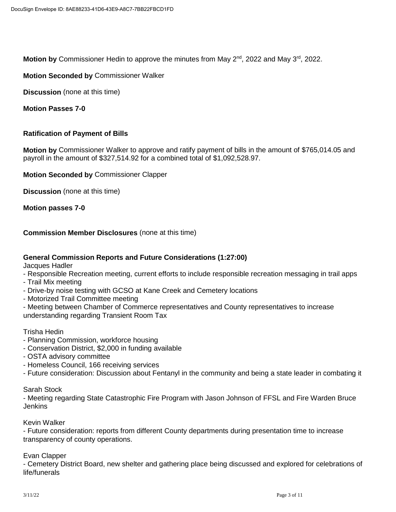Motion by Commissioner Hedin to approve the minutes from May 2<sup>nd</sup>, 2022 and May 3<sup>rd</sup>, 2022.

## **Motion Seconded by** Commissioner Walker

**Discussion** (none at this time)

**Motion Passes 7-0**

## **Ratification of Payment of Bills**

**Motion by** Commissioner Walker to approve and ratify payment of bills in the amount of \$765,014.05 and payroll in the amount of \$327,514.92 for a combined total of \$1,092,528.97.

**Motion Seconded by** Commissioner Clapper

**Discussion** (none at this time)

**Motion passes 7-0**

**Commission Member Disclosures** (none at this time)

# **General Commission Reports and Future Considerations (1:27:00)**

Jacques Hadler

- Responsible Recreation meeting, current efforts to include responsible recreation messaging in trail apps

- Trail Mix meeting
- Drive-by noise testing with GCSO at Kane Creek and Cemetery locations
- Motorized Trail Committee meeting
- Meeting between Chamber of Commerce representatives and County representatives to increase understanding regarding Transient Room Tax

Trisha Hedin

- Planning Commission, workforce housing
- Conservation District, \$2,000 in funding available
- OSTA advisory committee
- Homeless Council, 166 receiving services
- Future consideration: Discussion about Fentanyl in the community and being a state leader in combating it

Sarah Stock

- Meeting regarding State Catastrophic Fire Program with Jason Johnson of FFSL and Fire Warden Bruce **Jenkins** 

Kevin Walker

- Future consideration: reports from different County departments during presentation time to increase transparency of county operations.

Evan Clapper

- Cemetery District Board, new shelter and gathering place being discussed and explored for celebrations of life/funerals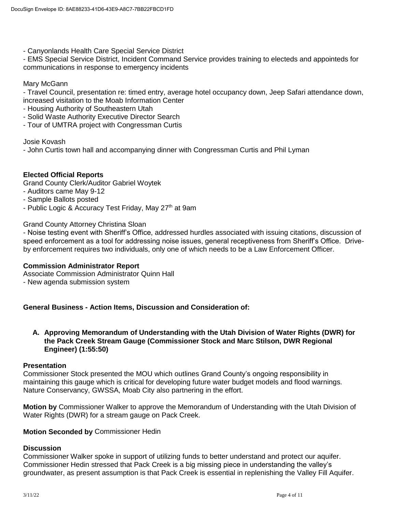- Canyonlands Health Care Special Service District

- EMS Special Service District, Incident Command Service provides training to electeds and appointeds for communications in response to emergency incidents

Mary McGann

- Travel Council, presentation re: timed entry, average hotel occupancy down, Jeep Safari attendance down, increased visitation to the Moab Information Center

- Housing Authority of Southeastern Utah
- Solid Waste Authority Executive Director Search
- Tour of UMTRA project with Congressman Curtis

Josie Kovash

- John Curtis town hall and accompanying dinner with Congressman Curtis and Phil Lyman

### **Elected Official Reports**

Grand County Clerk/Auditor Gabriel Woytek

- Auditors came May 9-12
- Sample Ballots posted
- Public Logic & Accuracy Test Friday, May 27<sup>th</sup> at 9am

Grand County Attorney Christina Sloan

- Noise testing event with Sheriff's Office, addressed hurdles associated with issuing citations, discussion of speed enforcement as a tool for addressing noise issues, general receptiveness from Sheriff's Office. Driveby enforcement requires two individuals, only one of which needs to be a Law Enforcement Officer.

### **Commission Administrator Report**

Associate Commission Administrator Quinn Hall

- New agenda submission system

**General Business - Action Items, Discussion and Consideration of:**

**A. Approving Memorandum of Understanding with the Utah Division of Water Rights (DWR) for the Pack Creek Stream Gauge (Commissioner Stock and Marc Stilson, DWR Regional Engineer) (1:55:50)**

#### **Presentation**

Commissioner Stock presented the MOU which outlines Grand County's ongoing responsibility in maintaining this gauge which is critical for developing future water budget models and flood warnings. Nature Conservancy, GWSSA, Moab City also partnering in the effort.

**Motion by** Commissioner Walker to approve the Memorandum of Understanding with the Utah Division of Water Rights (DWR) for a stream gauge on Pack Creek.

### **Motion Seconded by** Commissioner Hedin

# **Discussion**

Commissioner Walker spoke in support of utilizing funds to better understand and protect our aquifer. Commissioner Hedin stressed that Pack Creek is a big missing piece in understanding the valley's groundwater, as present assumption is that Pack Creek is essential in replenishing the Valley Fill Aquifer.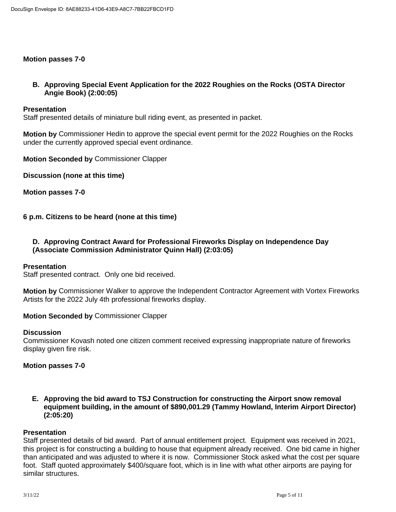## **Motion passes 7-0**

**B. Approving Special Event Application for the 2022 Roughies on the Rocks (OSTA Director Angie Book) (2:00:05)**

#### **Presentation**

Staff presented details of miniature bull riding event, as presented in packet.

**Motion by** Commissioner Hedin to approve the special event permit for the 2022 Roughies on the Rocks under the currently approved special event ordinance.

**Motion Seconded by** Commissioner Clapper

**Discussion (none at this time)**

**Motion passes 7-0**

**6 p.m. Citizens to be heard (none at this time)**

# **D. Approving Contract Award for Professional Fireworks Display on Independence Day (Associate Commission Administrator Quinn Hall) (2:03:05)**

#### **Presentation**

Staff presented contract. Only one bid received.

**Motion by** Commissioner Walker to approve the Independent Contractor Agreement with Vortex Fireworks Artists for the 2022 July 4th professional fireworks display.

#### **Motion Seconded by** Commissioner Clapper

#### **Discussion**

Commissioner Kovash noted one citizen comment received expressing inappropriate nature of fireworks display given fire risk.

### **Motion passes 7-0**

**E. Approving the bid award to TSJ Construction for constructing the Airport snow removal equipment building, in the amount of \$890,001.29 (Tammy Howland, Interim Airport Director) (2:05:20)**

### **Presentation**

Staff presented details of bid award. Part of annual entitlement project. Equipment was received in 2021, this project is for constructing a building to house that equipment already received. One bid came in higher than anticipated and was adjusted to where it is now. Commissioner Stock asked what the cost per square foot. Staff quoted approximately \$400/square foot, which is in line with what other airports are paying for similar structures.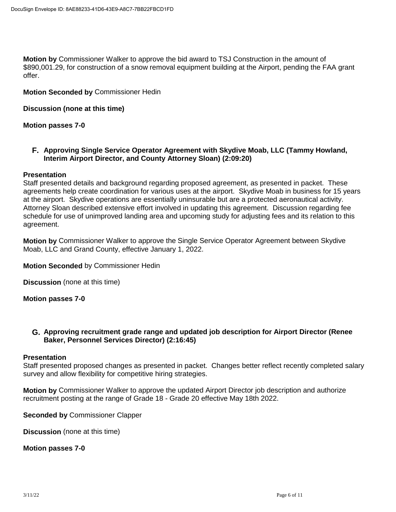**Motion by** Commissioner Walker to approve the bid award to TSJ Construction in the amount of \$890,001.29, for construction of a snow removal equipment building at the Airport, pending the FAA grant offer.

**Motion Seconded by** Commissioner Hedin

**Discussion (none at this time)**

**Motion passes 7-0**

**F. Approving Single Service Operator Agreement with Skydive Moab, LLC (Tammy Howland, Interim Airport Director, and County Attorney Sloan) (2:09:20)**

### **Presentation**

Staff presented details and background regarding proposed agreement, as presented in packet. These agreements help create coordination for various uses at the airport. Skydive Moab in business for 15 years at the airport. Skydive operations are essentially uninsurable but are a protected aeronautical activity. Attorney Sloan described extensive effort involved in updating this agreement. Discussion regarding fee schedule for use of unimproved landing area and upcoming study for adjusting fees and its relation to this agreement.

**Motion by** Commissioner Walker to approve the Single Service Operator Agreement between Skydive Moab, LLC and Grand County, effective January 1, 2022.

**Motion Seconded** by Commissioner Hedin

**Discussion** (none at this time)

**Motion passes 7-0**

## **G. Approving recruitment grade range and updated job description for Airport Director (Renee Baker, Personnel Services Director) (2:16:45)**

### **Presentation**

Staff presented proposed changes as presented in packet. Changes better reflect recently completed salary survey and allow flexibility for competitive hiring strategies.

**Motion by** Commissioner Walker to approve the updated Airport Director job description and authorize recruitment posting at the range of Grade 18 - Grade 20 effective May 18th 2022.

**Seconded by** Commissioner Clapper

**Discussion** (none at this time)

**Motion passes 7-0**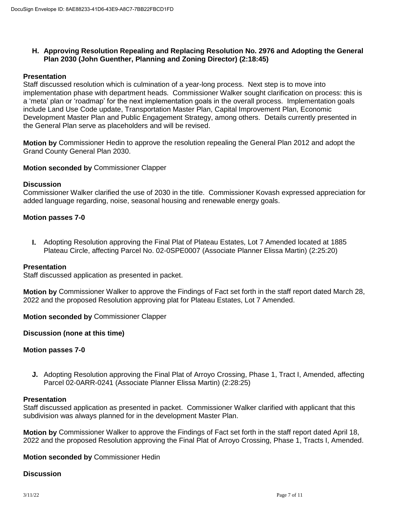## **H. Approving Resolution Repealing and Replacing Resolution No. 2976 and Adopting the General Plan 2030 (John Guenther, Planning and Zoning Director) (2:18:45)**

### **Presentation**

Staff discussed resolution which is culmination of a year-long process. Next step is to move into implementation phase with department heads. Commissioner Walker sought clarification on process: this is a 'meta' plan or 'roadmap' for the next implementation goals in the overall process. Implementation goals include Land Use Code update, Transportation Master Plan, Capital Improvement Plan, Economic Development Master Plan and Public Engagement Strategy, among others. Details currently presented in the General Plan serve as placeholders and will be revised.

**Motion by** Commissioner Hedin to approve the resolution repealing the General Plan 2012 and adopt the Grand County General Plan 2030.

**Motion seconded by** Commissioner Clapper

### **Discussion**

Commissioner Walker clarified the use of 2030 in the title. Commissioner Kovash expressed appreciation for added language regarding, noise, seasonal housing and renewable energy goals.

## **Motion passes 7-0**

**I.** Adopting Resolution approving the Final Plat of Plateau Estates, Lot 7 Amended located at 1885 Plateau Circle, affecting Parcel No. 02-0SPE0007 (Associate Planner Elissa Martin) (2:25:20)

### **Presentation**

Staff discussed application as presented in packet.

**Motion by** Commissioner Walker to approve the Findings of Fact set forth in the staff report dated March 28, 2022 and the proposed Resolution approving plat for Plateau Estates, Lot 7 Amended.

**Motion seconded by** Commissioner Clapper

**Discussion (none at this time)**

### **Motion passes 7-0**

**J.** Adopting Resolution approving the Final Plat of Arroyo Crossing, Phase 1, Tract I, Amended, affecting Parcel 02-0ARR-0241 (Associate Planner Elissa Martin) (2:28:25)

#### **Presentation**

Staff discussed application as presented in packet. Commissioner Walker clarified with applicant that this subdivision was always planned for in the development Master Plan.

**Motion by** Commissioner Walker to approve the Findings of Fact set forth in the staff report dated April 18, 2022 and the proposed Resolution approving the Final Plat of Arroyo Crossing, Phase 1, Tracts I, Amended.

**Motion seconded by** Commissioner Hedin

#### **Discussion**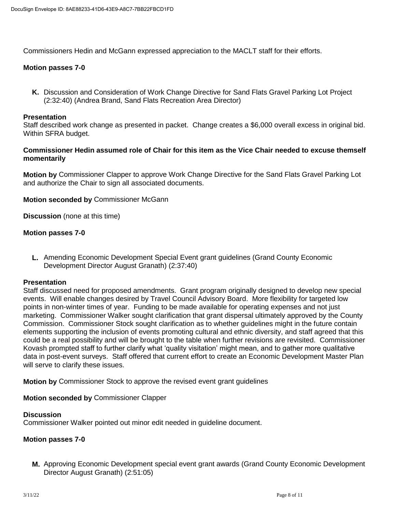Commissioners Hedin and McGann expressed appreciation to the MACLT staff for their efforts.

# **Motion passes 7-0**

**K.** Discussion and Consideration of Work Change Directive for Sand Flats Gravel Parking Lot Project (2:32:40) (Andrea Brand, Sand Flats Recreation Area Director)

## **Presentation**

Staff described work change as presented in packet. Change creates a \$6,000 overall excess in original bid. Within SFRA budget.

## **Commissioner Hedin assumed role of Chair for this item as the Vice Chair needed to excuse themself momentarily**

**Motion by** Commissioner Clapper to approve Work Change Directive for the Sand Flats Gravel Parking Lot and authorize the Chair to sign all associated documents.

## **Motion seconded by** Commissioner McGann

**Discussion** (none at this time)

## **Motion passes 7-0**

**L.** Amending Economic Development Special Event grant guidelines (Grand County Economic Development Director August Granath) (2:37:40)

### **Presentation**

Staff discussed need for proposed amendments. Grant program originally designed to develop new special events. Will enable changes desired by Travel Council Advisory Board. More flexibility for targeted low points in non-winter times of year. Funding to be made available for operating expenses and not just marketing. Commissioner Walker sought clarification that grant dispersal ultimately approved by the County Commission. Commissioner Stock sought clarification as to whether guidelines might in the future contain elements supporting the inclusion of events promoting cultural and ethnic diversity, and staff agreed that this could be a real possibility and will be brought to the table when further revisions are revisited. Commissioner Kovash prompted staff to further clarify what 'quality visitation' might mean, and to gather more qualitative data in post-event surveys. Staff offered that current effort to create an Economic Development Master Plan will serve to clarify these issues.

**Motion by** Commissioner Stock to approve the revised event grant guidelines

**Motion seconded by** Commissioner Clapper

### **Discussion**

Commissioner Walker pointed out minor edit needed in guideline document.

# **Motion passes 7-0**

**M.** Approving Economic Development special event grant awards (Grand County Economic Development Director August Granath) (2:51:05)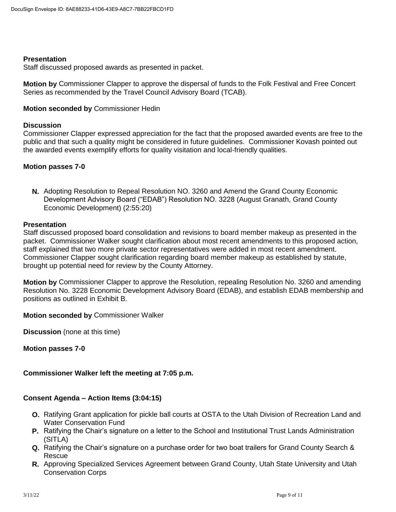### **Presentation**

Staff discussed proposed awards as presented in packet.

**Motion by** Commissioner Clapper to approve the dispersal of funds to the Folk Festival and Free Concert Series as recommended by the Travel Council Advisory Board (TCAB).

## **Motion seconded by** Commissioner Hedin

### **Discussion**

Commissioner Clapper expressed appreciation for the fact that the proposed awarded events are free to the public and that such a quality might be considered in future guidelines. Commissioner Kovash pointed out the awarded events exemplify efforts for quality visitation and local-friendly qualities.

# **Motion passes 7-0**

**N.** Adopting Resolution to Repeal Resolution NO. 3260 and Amend the Grand County Economic Development Advisory Board ("EDAB") Resolution NO. 3228 (August Granath, Grand County Economic Development) (2:55:20)

## **Presentation**

Staff discussed proposed board consolidation and revisions to board member makeup as presented in the packet. Commissioner Walker sought clarification about most recent amendments to this proposed action, staff explained that two more private sector representatives were added in most recent amendment. Commissioner Clapper sought clarification regarding board member makeup as established by statute, brought up potential need for review by the County Attorney.

**Motion by** Commissioner Clapper to approve the Resolution, repealing Resolution No. 3260 and amending Resolution No. 3228 Economic Development Advisory Board (EDAB), and establish EDAB membership and positions as outlined in Exhibit B.

**Motion seconded by** Commissioner Walker

**Discussion** (none at this time)

**Motion passes 7-0**

### **Commissioner Walker left the meeting at 7:05 p.m.**

### **Consent Agenda – Action Items (3:04:15)**

- **O.** Ratifying Grant application for pickle ball courts at OSTA to the Utah Division of Recreation Land and Water Conservation Fund
- **P.** Ratifying the Chair's signature on a letter to the School and Institutional Trust Lands Administration (SITLA)
- **Q.** Ratifying the Chair's signature on a purchase order for two boat trailers for Grand County Search & Rescue
- **R.** Approving Specialized Services Agreement between Grand County, Utah State University and Utah Conservation Corps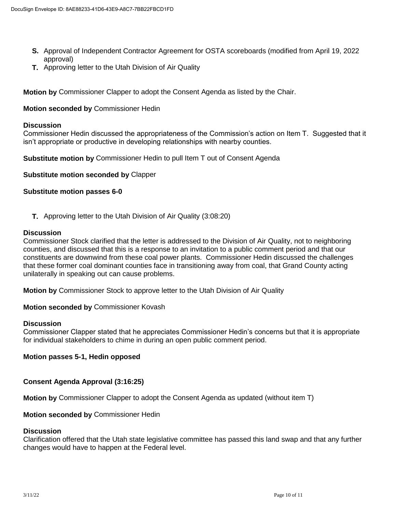- **S.** Approval of Independent Contractor Agreement for OSTA scoreboards (modified from April 19, 2022 approval)
- **T.** Approving letter to the Utah Division of Air Quality

**Motion by** Commissioner Clapper to adopt the Consent Agenda as listed by the Chair.

**Motion seconded by** Commissioner Hedin

#### **Discussion**

Commissioner Hedin discussed the appropriateness of the Commission's action on Item T. Suggested that it isn't appropriate or productive in developing relationships with nearby counties.

**Substitute motion by** Commissioner Hedin to pull Item T out of Consent Agenda

**Substitute motion seconded by** Clapper

### **Substitute motion passes 6-0**

**T.** Approving letter to the Utah Division of Air Quality (3:08:20)

### **Discussion**

Commissioner Stock clarified that the letter is addressed to the Division of Air Quality, not to neighboring counties, and discussed that this is a response to an invitation to a public comment period and that our constituents are downwind from these coal power plants. Commissioner Hedin discussed the challenges that these former coal dominant counties face in transitioning away from coal, that Grand County acting unilaterally in speaking out can cause problems.

**Motion by** Commissioner Stock to approve letter to the Utah Division of Air Quality

**Motion seconded by** Commissioner Kovash

### **Discussion**

Commissioner Clapper stated that he appreciates Commissioner Hedin's concerns but that it is appropriate for individual stakeholders to chime in during an open public comment period.

### **Motion passes 5-1, Hedin opposed**

### **Consent Agenda Approval (3:16:25)**

**Motion by** Commissioner Clapper to adopt the Consent Agenda as updated (without item T)

### **Motion seconded by** Commissioner Hedin

### **Discussion**

Clarification offered that the Utah state legislative committee has passed this land swap and that any further changes would have to happen at the Federal level.